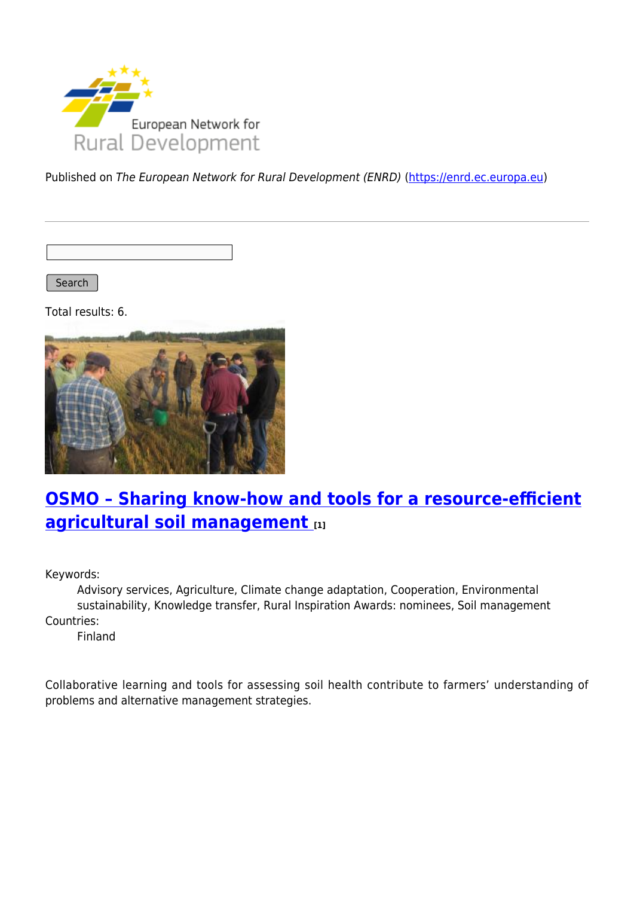

Published on The European Network for Rural Development (ENRD) [\(https://enrd.ec.europa.eu](https://enrd.ec.europa.eu))

Search |

Total results: 6.



# **[OSMO – Sharing know-how and tools for a resource-efficient](https://enrd.ec.europa.eu/projects-practice/osmo-sharing-know-how-and-tools-resource-efficient-agricultural-soil-management_en) [agricultural soil management](https://enrd.ec.europa.eu/projects-practice/osmo-sharing-know-how-and-tools-resource-efficient-agricultural-soil-management_en) [1]**

Keywords:

Advisory services, Agriculture, Climate change adaptation, Cooperation, Environmental sustainability, Knowledge transfer, Rural Inspiration Awards: nominees, Soil management Countries:

Finland

Collaborative learning and tools for assessing soil health contribute to farmers' understanding of problems and alternative management strategies.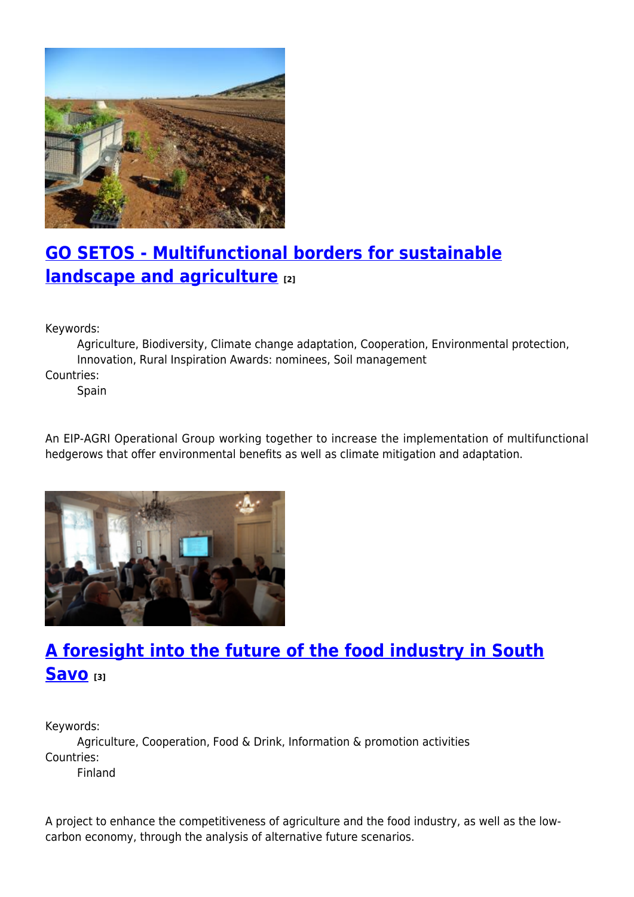

## **[GO SETOS - Multifunctional borders for sustainable](https://enrd.ec.europa.eu/projects-practice/go-setos-multifunctional-borders-sustainable-landscape-and-agriculture_en) [landscape and agriculture](https://enrd.ec.europa.eu/projects-practice/go-setos-multifunctional-borders-sustainable-landscape-and-agriculture_en) [2]**

Keywords:

Agriculture, Biodiversity, Climate change adaptation, Cooperation, Environmental protection, Innovation, Rural Inspiration Awards: nominees, Soil management

Countries:

Spain

An EIP-AGRI Operational Group working together to increase the implementation of multifunctional hedgerows that offer environmental benefits as well as climate mitigation and adaptation.



## **[A foresight into the future of the food industry in South](https://enrd.ec.europa.eu/projects-practice/foresight-future-food-industry-south-savo_en) [Savo](https://enrd.ec.europa.eu/projects-practice/foresight-future-food-industry-south-savo_en) [3]**

Keywords: Agriculture, Cooperation, Food & Drink, Information & promotion activities Countries: Finland

A project to enhance the competitiveness of agriculture and the food industry, as well as the lowcarbon economy, through the analysis of alternative future scenarios.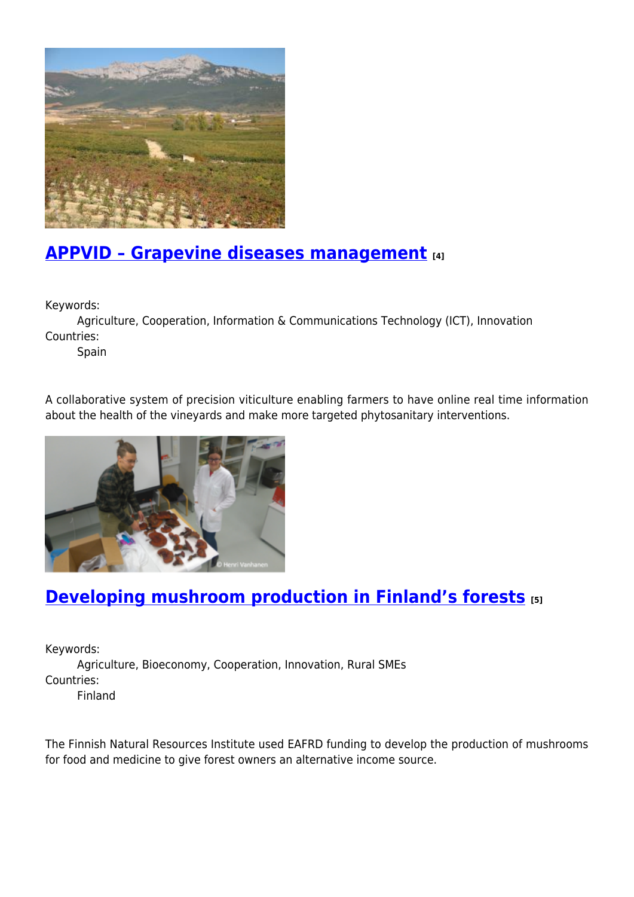

### **[APPVID – Grapevine diseases management](https://enrd.ec.europa.eu/projects-practice/appvid-grapevine-diseases-management_en) [4]**

Keywords:

Agriculture, Cooperation, Information & Communications Technology (ICT), Innovation Countries:

Spain

A collaborative system of precision viticulture enabling farmers to have online real time information about the health of the vineyards and make more targeted phytosanitary interventions.



### **[Developing mushroom production in Finland's forests](https://enrd.ec.europa.eu/projects-practice/developing-mushroom-production-finlands-forests_en) [5]**

Keywords:

Agriculture, Bioeconomy, Cooperation, Innovation, Rural SMEs Countries:

Finland

The Finnish Natural Resources Institute used EAFRD funding to develop the production of mushrooms for food and medicine to give forest owners an alternative income source.